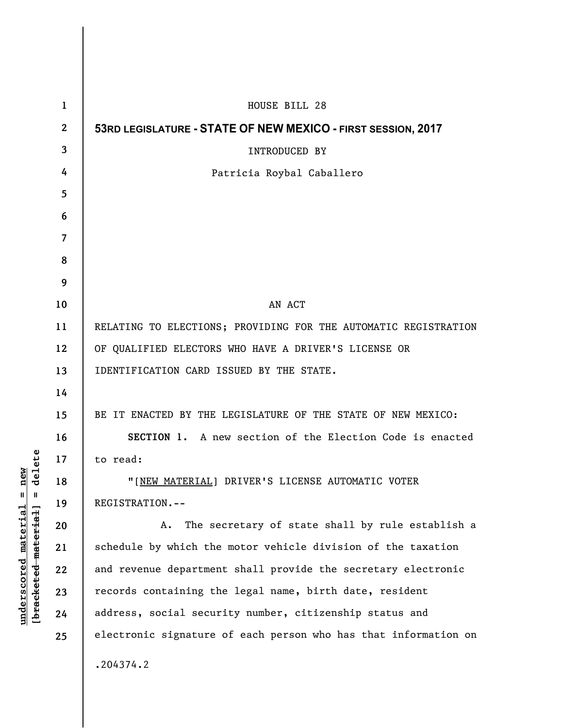| $\mathbf{1}$            | HOUSE BILL 28                                                   |
|-------------------------|-----------------------------------------------------------------|
| $\boldsymbol{2}$        | 53RD LEGISLATURE - STATE OF NEW MEXICO - FIRST SESSION, 2017    |
| 3                       | INTRODUCED BY                                                   |
| 4                       | Patricia Roybal Caballero                                       |
| 5                       |                                                                 |
| 6                       |                                                                 |
| $\overline{\mathbf{z}}$ |                                                                 |
| 8                       |                                                                 |
| 9                       |                                                                 |
| 10                      | AN ACT                                                          |
| 11                      | RELATING TO ELECTIONS; PROVIDING FOR THE AUTOMATIC REGISTRATION |
| 12                      | OF QUALIFIED ELECTORS WHO HAVE A DRIVER'S LICENSE OR            |
| 13                      | IDENTIFICATION CARD ISSUED BY THE STATE.                        |
| 14                      |                                                                 |
| 15                      | BE IT ENACTED BY THE LEGISLATURE OF THE STATE OF NEW MEXICO:    |
| 16                      | SECTION 1. A new section of the Election Code is enacted        |
| 17                      | to read:                                                        |
| 18                      | "[NEW MATERIAL] DRIVER'S LICENSE AUTOMATIC VOTER                |
| 19                      | REGISTRATION.--                                                 |
| 20                      | The secretary of state shall by rule establish a<br>A.          |
| 21                      | schedule by which the motor vehicle division of the taxation    |
| 22                      | and revenue department shall provide the secretary electronic   |
| 23                      | records containing the legal name, birth date, resident         |
| 24                      | address, social security number, citizenship status and         |
| 25                      | electronic signature of each person who has that information on |
|                         | .204374.2                                                       |

**underscored material = new [bracketed material] = delete**

 $[**bracket eted metert et**] = **del et e**$  $underscored material = new$ 

 $\overline{\phantom{a}}$